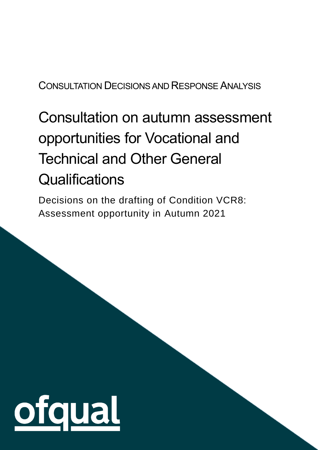## CONSULTATION DECISIONSAND RESPONSE ANALYSIS

# Consultation on autumn assessment opportunities for Vocational and Technical and Other General **Qualifications**

Decisions on the drafting of Condition VCR8: Assessment opportunity in Autumn 2021

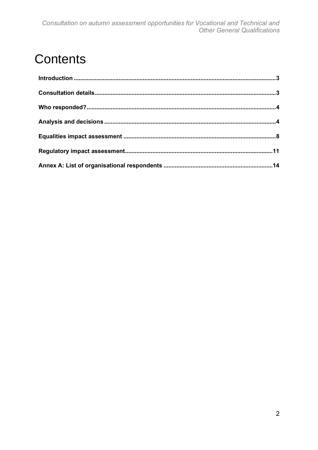# **Contents**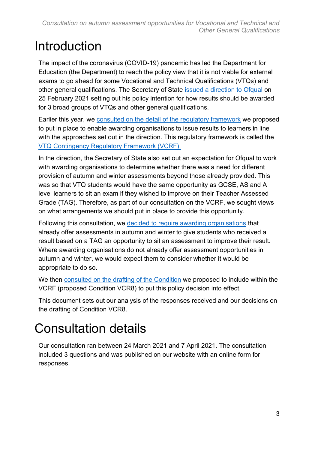# <span id="page-2-0"></span>Introduction

The impact of the coronavirus (COVID-19) pandemic has led the Department for Education (the Department) to reach the policy view that it is not viable for external exams to go ahead for some Vocational and Technical Qualifications (VTQs) and other general qualifications. The Secretary of State [issued a direction to Ofqual](https://www.gov.uk/government/publications/direction-issued-to-ofqual) on 25 February 2021 setting out his policy intention for how results should be awarded for 3 broad groups of VTQs and other general qualifications.

Earlier this year, we [consulted on the detail of the regulatory framework](https://www.gov.uk/government/consultations/regulatory-arrangements-for-the-awarding-of-vocational-and-technical-and-other-general-qualifications-in-2020-2021) we proposed to put in place to enable awarding organisations to issue results to learners in line with the approaches set out in the direction. This regulatory framework is called the [VTQ Contingency Regulatory Framework \(VCRF\).](https://www.gov.uk/government/publications/vocational-and-technical-qualifications-contingency-regulatory-framework)

In the direction, the Secretary of State also set out an expectation for Ofqual to work with awarding organisations to determine whether there was a need for different provision of autumn and winter assessments beyond those already provided. This was so that VTQ students would have the same opportunity as GCSE, AS and A level learners to sit an exam if they wished to improve on their Teacher Assessed Grade (TAG). Therefore, as part of our consultation on the VCRF, we sought views on what arrangements we should put in place to provide this opportunity.

Following this consultation, we [decided to require awarding organisations](https://www.gov.uk/government/consultations/regulatory-arrangements-for-the-awarding-of-vocational-and-technical-and-other-general-qualifications-in-2020-2021) that already offer assessments in autumn and winter to give students who received a result based on a TAG an opportunity to sit an assessment to improve their result. Where awarding organisations do not already offer assessment opportunities in autumn and winter, we would expect them to consider whether it would be appropriate to do so.

We then [consulted on the drafting](https://www.gov.uk/government/consultations/consultation-on-autumn-assessment-opportunities-for-vtqs) of the Condition we proposed to include within the VCRF (proposed Condition VCR8) to put this policy decision into effect.

This document sets out our analysis of the responses received and our decisions on the drafting of Condition VCR8.

# <span id="page-2-1"></span>Consultation details

Our consultation ran between 24 March 2021 and 7 April 2021. The consultation included 3 questions and was published on our website with an online form for responses.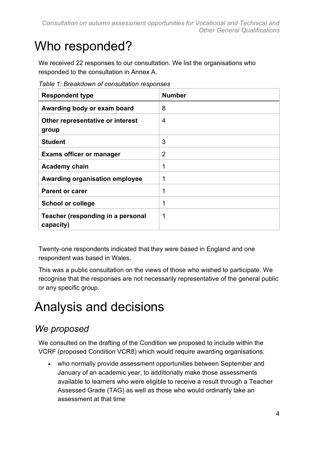# <span id="page-3-0"></span>Who responded?

We received 22 responses to our consultation. We list the organisations who responded to the consultation in Annex A.

| <b>Respondent type</b>                         | <b>Number</b>  |
|------------------------------------------------|----------------|
| Awarding body or exam board                    | 8              |
| Other representative or interest<br>group      | 4              |
| <b>Student</b>                                 | 3              |
| <b>Exams officer or manager</b>                | $\overline{2}$ |
| <b>Academy chain</b>                           | 1              |
| Awarding organisation employee                 | 1              |
| <b>Parent or carer</b>                         | 1              |
| <b>School or college</b>                       | 1              |
| Teacher (responding in a personal<br>capacity) | 1              |

*Table 1: Breakdown of consultation responses*

Twenty-one respondents indicated that they were based in England and one respondent was based in Wales.

This was a public consultation on the views of those who wished to participate. We recognise that the responses are not necessarily representative of the general public or any specific group.

# <span id="page-3-1"></span>Analysis and decisions

### *We proposed*

We consulted on the drafting of the Condition we proposed to include within the VCRF (proposed Condition VCR8) which would require awarding organisations:

• who normally provide assessment opportunities between September and January of an academic year, to additionally make those assessments available to learners who were eligible to receive a result through a Teacher Assessed Grade (TAG) as well as those who would ordinarily take an assessment at that time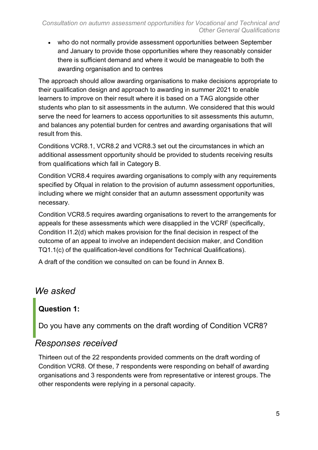• who do not normally provide assessment opportunities between September and January to provide those opportunities where they reasonably consider there is sufficient demand and where it would be manageable to both the awarding organisation and to centres

The approach should allow awarding organisations to make decisions appropriate to their qualification design and approach to awarding in summer 2021 to enable learners to improve on their result where it is based on a TAG alongside other students who plan to sit assessments in the autumn. We considered that this would serve the need for learners to access opportunities to sit assessments this autumn, and balances any potential burden for centres and awarding organisations that will result from this.

Conditions VCR8.1, VCR8.2 and VCR8.3 set out the circumstances in which an additional assessment opportunity should be provided to students receiving results from qualifications which fall in Category B.

Condition VCR8.4 requires awarding organisations to comply with any requirements specified by Ofqual in relation to the provision of autumn assessment opportunities, including where we might consider that an autumn assessment opportunity was necessary.

Condition VCR8.5 requires awarding organisations to revert to the arrangements for appeals for these assessments which were disapplied in the VCRF (specifically, Condition I1.2(d) which makes provision for the final decision in respect of the outcome of an appeal to involve an independent decision maker, and Condition TQ1.1(c) of the qualification-level conditions for Technical Qualifications).

A draft of the condition we consulted on can be found in Annex B.

### *We asked*

# **Question 1:**

Do you have any comments on the draft wording of Condition VCR8?

#### *Responses received*

Thirteen out of the 22 respondents provided comments on the draft wording of Condition VCR8. Of these, 7 respondents were responding on behalf of awarding organisations and 3 respondents were from representative or interest groups. The other respondents were replying in a personal capacity.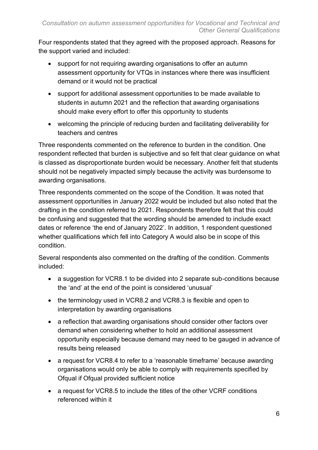Four respondents stated that they agreed with the proposed approach. Reasons for the support varied and included:

- support for not requiring awarding organisations to offer an autumn assessment opportunity for VTQs in instances where there was insufficient demand or it would not be practical
- support for additional assessment opportunities to be made available to students in autumn 2021 and the reflection that awarding organisations should make every effort to offer this opportunity to students
- welcoming the principle of reducing burden and facilitating deliverability for teachers and centres

Three respondents commented on the reference to burden in the condition. One respondent reflected that burden is subjective and so felt that clear guidance on what is classed as disproportionate burden would be necessary. Another felt that students should not be negatively impacted simply because the activity was burdensome to awarding organisations.

Three respondents commented on the scope of the Condition. It was noted that assessment opportunities in January 2022 would be included but also noted that the drafting in the condition referred to 2021. Respondents therefore felt that this could be confusing and suggested that the wording should be amended to include exact dates or reference 'the end of January 2022'. In addition, 1 respondent questioned whether qualifications which fell into Category A would also be in scope of this condition.

Several respondents also commented on the drafting of the condition. Comments included:

- a suggestion for VCR8.1 to be divided into 2 separate sub-conditions because the 'and' at the end of the point is considered 'unusual'
- the terminology used in VCR8.2 and VCR8.3 is flexible and open to interpretation by awarding organisations
- a reflection that awarding organisations should consider other factors over demand when considering whether to hold an additional assessment opportunity especially because demand may need to be gauged in advance of results being released
- a request for VCR8.4 to refer to a 'reasonable timeframe' because awarding organisations would only be able to comply with requirements specified by Ofqual if Ofqual provided sufficient notice
- a request for VCR8.5 to include the titles of the other VCRF conditions referenced within it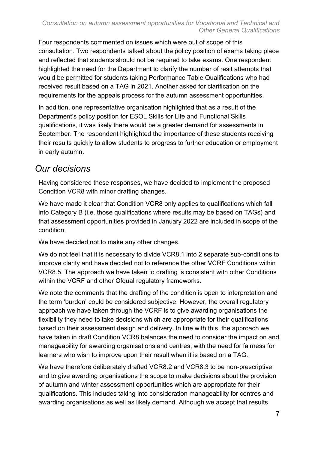Four respondents commented on issues which were out of scope of this consultation. Two respondents talked about the policy position of exams taking place and reflected that students should not be required to take exams. One respondent highlighted the need for the Department to clarify the number of resit attempts that would be permitted for students taking Performance Table Qualifications who had received result based on a TAG in 2021. Another asked for clarification on the requirements for the appeals process for the autumn assessment opportunities.

In addition, one representative organisation highlighted that as a result of the Department's policy position for ESOL Skills for Life and Functional Skills qualifications, it was likely there would be a greater demand for assessments in September. The respondent highlighted the importance of these students receiving their results quickly to allow students to progress to further education or employment in early autumn.

### *Our decisions*

Having considered these responses, we have decided to implement the proposed Condition VCR8 with minor drafting changes.

We have made it clear that Condition VCR8 only applies to qualifications which fall into Category B (i.e. those qualifications where results may be based on TAGs) and that assessment opportunities provided in January 2022 are included in scope of the condition.

We have decided not to make any other changes.

We do not feel that it is necessary to divide VCR8.1 into 2 separate sub-conditions to improve clarity and have decided not to reference the other VCRF Conditions within VCR8.5. The approach we have taken to drafting is consistent with other Conditions within the VCRF and other Ofqual regulatory frameworks.

We note the comments that the drafting of the condition is open to interpretation and the term 'burden' could be considered subjective. However, the overall regulatory approach we have taken through the VCRF is to give awarding organisations the flexibility they need to take decisions which are appropriate for their qualifications based on their assessment design and delivery. In line with this, the approach we have taken in draft Condition VCR8 balances the need to consider the impact on and manageability for awarding organisations and centres, with the need for fairness for learners who wish to improve upon their result when it is based on a TAG.

We have therefore deliberately drafted VCR8.2 and VCR8.3 to be non-prescriptive and to give awarding organisations the scope to make decisions about the provision of autumn and winter assessment opportunities which are appropriate for their qualifications. This includes taking into consideration manageability for centres and awarding organisations as well as likely demand. Although we accept that results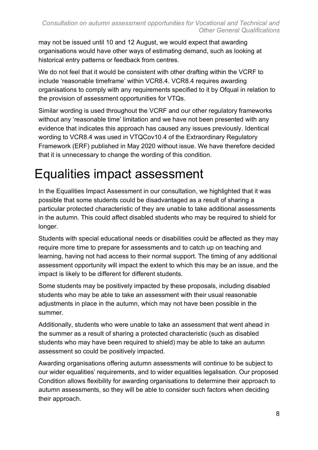may not be issued until 10 and 12 August, we would expect that awarding organisations would have other ways of estimating demand, such as looking at historical entry patterns or feedback from centres.

We do not feel that it would be consistent with other drafting within the VCRF to include 'reasonable timeframe' within VCR8.4. VCR8.4 requires awarding organisations to comply with any requirements specified to it by Ofqual in relation to the provision of assessment opportunities for VTQs.

Similar wording is used throughout the VCRF and our other regulatory frameworks without any 'reasonable time' limitation and we have not been presented with any evidence that indicates this approach has caused any issues previously. Identical wording to VCR8.4 was used in VTQCov10.4 of the Extraordinary Regulatory Framework (ERF) published in May 2020 without issue. We have therefore decided that it is unnecessary to change the wording of this condition.

# <span id="page-7-0"></span>Equalities impact assessment

In the Equalities Impact Assessment in our consultation, we highlighted that it was possible that some students could be disadvantaged as a result of sharing a particular protected characteristic of they are unable to take additional assessments in the autumn. This could affect disabled students who may be required to shield for longer.

Students with special educational needs or disabilities could be affected as they may require more time to prepare for assessments and to catch up on teaching and learning, having not had access to their normal support. The timing of any additional assessment opportunity will impact the extent to which this may be an issue, and the impact is likely to be different for different students.

Some students may be positively impacted by these proposals, including disabled students who may be able to take an assessment with their usual reasonable adjustments in place in the autumn, which may not have been possible in the summer.

Additionally, students who were unable to take an assessment that went ahead in the summer as a result of sharing a protected characteristic (such as disabled students who may have been required to shield) may be able to take an autumn assessment so could be positively impacted.

Awarding organisations offering autumn assessments will continue to be subject to our wider equalities' requirements, and to wider equalities legalisation. Our proposed Condition allows flexibility for awarding organisations to determine their approach to autumn assessments, so they will be able to consider such factors when deciding their approach.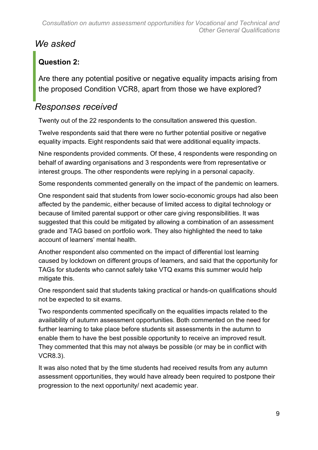### *We asked*

### **Question 2:**

Are there any potential positive or negative equality impacts arising from the proposed Condition VCR8, apart from those we have explored?

### *Responses received*

Twenty out of the 22 respondents to the consultation answered this question.

Twelve respondents said that there were no further potential positive or negative equality impacts. Eight respondents said that were additional equality impacts.

Nine respondents provided comments. Of these, 4 respondents were responding on behalf of awarding organisations and 3 respondents were from representative or interest groups. The other respondents were replying in a personal capacity.

Some respondents commented generally on the impact of the pandemic on learners.

One respondent said that students from lower socio-economic groups had also been affected by the pandemic, either because of limited access to digital technology or because of limited parental support or other care giving responsibilities. It was suggested that this could be mitigated by allowing a combination of an assessment grade and TAG based on portfolio work. They also highlighted the need to take account of learners' mental health.

Another respondent also commented on the impact of differential lost learning caused by lockdown on different groups of learners, and said that the opportunity for TAGs for students who cannot safely take VTQ exams this summer would help mitigate this.

One respondent said that students taking practical or hands-on qualifications should not be expected to sit exams.

Two respondents commented specifically on the equalities impacts related to the availability of autumn assessment opportunities. Both commented on the need for further learning to take place before students sit assessments in the autumn to enable them to have the best possible opportunity to receive an improved result. They commented that this may not always be possible (or may be in conflict with VCR8.3).

It was also noted that by the time students had received results from any autumn assessment opportunities, they would have already been required to postpone their progression to the next opportunity/ next academic year.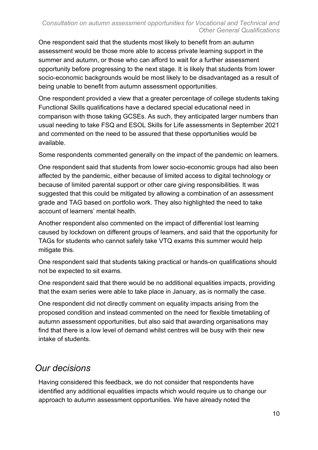One respondent said that the students most likely to benefit from an autumn assessment would be those more able to access private learning support in the summer and autumn, or those who can afford to wait for a further assessment opportunity before progressing to the next stage. It is likely that students from lower socio-economic backgrounds would be most likely to be disadvantaged as a result of being unable to benefit from autumn assessment opportunities.

One respondent provided a view that a greater percentage of college students taking Functional Skills qualifications have a declared special educational need in comparison with those taking GCSEs. As such, they anticipated larger numbers than usual needing to take FSQ and ESOL Skills for Life assessments in September 2021 and commented on the need to be assured that these opportunities would be available.

Some respondents commented generally on the impact of the pandemic on learners.

One respondent said that students from lower socio-economic groups had also been affected by the pandemic, either because of limited access to digital technology or because of limited parental support or other care giving responsibilities. It was suggested that this could be mitigated by allowing a combination of an assessment grade and TAG based on portfolio work. They also highlighted the need to take account of learners' mental health.

Another respondent also commented on the impact of differential lost learning caused by lockdown on different groups of learners, and said that the opportunity for TAGs for students who cannot safely take VTQ exams this summer would help mitigate this.

One respondent said that students taking practical or hands-on qualifications should not be expected to sit exams.

One respondent said that there would be no additional equalities impacts, providing that the exam series were able to take place in January, as is normally the case.

One respondent did not directly comment on equality impacts arising from the proposed condition and instead commented on the need for flexible timetabling of autumn assessment opportunities, but also said that awarding organisations may find that there is a low level of demand whilst centres will be busy with their new intake of students.

### *Our decisions*

Having considered this feedback, we do not consider that respondents have identified any additional equalities impacts which would require us to change our approach to autumn assessment opportunities. We have already noted the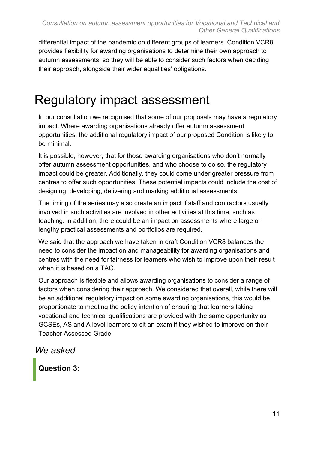differential impact of the pandemic on different groups of learners. Condition VCR8 provides flexibility for awarding organisations to determine their own approach to autumn assessments, so they will be able to consider such factors when deciding their approach, alongside their wider equalities' obligations.

# <span id="page-10-0"></span>Regulatory impact assessment

In our consultation we recognised that some of our proposals may have a regulatory impact. Where awarding organisations already offer autumn assessment opportunities, the additional regulatory impact of our proposed Condition is likely to be minimal.

It is possible, however, that for those awarding organisations who don't normally offer autumn assessment opportunities, and who choose to do so, the regulatory impact could be greater. Additionally, they could come under greater pressure from centres to offer such opportunities. These potential impacts could include the cost of designing, developing, delivering and marking additional assessments.

The timing of the series may also create an impact if staff and contractors usually involved in such activities are involved in other activities at this time, such as teaching. In addition, there could be an impact on assessments where large or lengthy practical assessments and portfolios are required.

We said that the approach we have taken in draft Condition VCR8 balances the need to consider the impact on and manageability for awarding organisations and centres with the need for fairness for learners who wish to improve upon their result when it is based on a TAG.

Our approach is flexible and allows awarding organisations to consider a range of factors when considering their approach. We considered that overall, while there will be an additional regulatory impact on some awarding organisations, this would be proportionate to meeting the policy intention of ensuring that learners taking vocational and technical qualifications are provided with the same opportunity as GCSEs, AS and A level learners to sit an exam if they wished to improve on their Teacher Assessed Grade.

#### *We asked*

**Question 3:**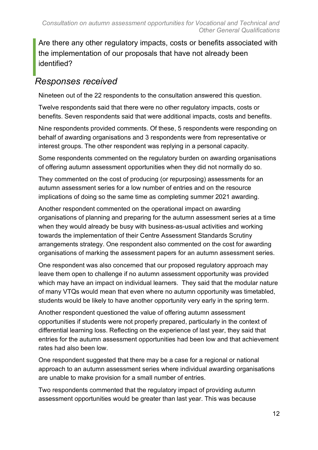Are there any other regulatory impacts, costs or benefits associated with the implementation of our proposals that have not already been identified?

### *Responses received*

Nineteen out of the 22 respondents to the consultation answered this question.

Twelve respondents said that there were no other regulatory impacts, costs or benefits. Seven respondents said that were additional impacts, costs and benefits.

Nine respondents provided comments. Of these, 5 respondents were responding on behalf of awarding organisations and 3 respondents were from representative or interest groups. The other respondent was replying in a personal capacity.

Some respondents commented on the regulatory burden on awarding organisations of offering autumn assessment opportunities when they did not normally do so.

They commented on the cost of producing (or repurposing) assessments for an autumn assessment series for a low number of entries and on the resource implications of doing so the same time as completing summer 2021 awarding.

Another respondent commented on the operational impact on awarding organisations of planning and preparing for the autumn assessment series at a time when they would already be busy with business-as-usual activities and working towards the implementation of their Centre Assessment Standards Scrutiny arrangements strategy. One respondent also commented on the cost for awarding organisations of marking the assessment papers for an autumn assessment series.

One respondent was also concerned that our proposed regulatory approach may leave them open to challenge if no autumn assessment opportunity was provided which may have an impact on individual learners. They said that the modular nature of many VTQs would mean that even where no autumn opportunity was timetabled, students would be likely to have another opportunity very early in the spring term.

Another respondent questioned the value of offering autumn assessment opportunities if students were not properly prepared, particularly in the context of differential learning loss. Reflecting on the experience of last year, they said that entries for the autumn assessment opportunities had been low and that achievement rates had also been low.

One respondent suggested that there may be a case for a regional or national approach to an autumn assessment series where individual awarding organisations are unable to make provision for a small number of entries.

Two respondents commented that the regulatory impact of providing autumn assessment opportunities would be greater than last year. This was because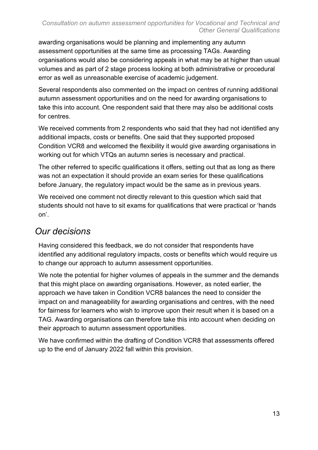#### *Consultation on autumn assessment opportunities for Vocational and Technical and Other General Qualifications*

awarding organisations would be planning and implementing any autumn assessment opportunities at the same time as processing TAGs. Awarding organisations would also be considering appeals in what may be at higher than usual volumes and as part of 2 stage process looking at both administrative or procedural error as well as unreasonable exercise of academic judgement.

Several respondents also commented on the impact on centres of running additional autumn assessment opportunities and on the need for awarding organisations to take this into account. One respondent said that there may also be additional costs for centres.

We received comments from 2 respondents who said that they had not identified any additional impacts, costs or benefits. One said that they supported proposed Condition VCR8 and welcomed the flexibility it would give awarding organisations in working out for which VTQs an autumn series is necessary and practical.

The other referred to specific qualifications it offers, setting out that as long as there was not an expectation it should provide an exam series for these qualifications before January, the regulatory impact would be the same as in previous years.

We received one comment not directly relevant to this question which said that students should not have to sit exams for qualifications that were practical or 'hands on'.

#### *Our decisions*

Having considered this feedback, we do not consider that respondents have identified any additional regulatory impacts, costs or benefits which would require us to change our approach to autumn assessment opportunities.

We note the potential for higher volumes of appeals in the summer and the demands that this might place on awarding organisations. However, as noted earlier, the approach we have taken in Condition VCR8 balances the need to consider the impact on and manageability for awarding organisations and centres, with the need for fairness for learners who wish to improve upon their result when it is based on a TAG. Awarding organisations can therefore take this into account when deciding on their approach to autumn assessment opportunities.

We have confirmed within the drafting of Condition VCR8 that assessments offered up to the end of January 2022 fall within this provision.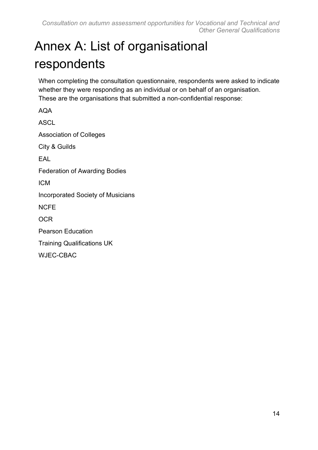# <span id="page-13-0"></span>Annex A: List of organisational respondents

When completing the consultation questionnaire, respondents were asked to indicate whether they were responding as an individual or on behalf of an organisation. These are the organisations that submitted a non-confidential response:

AQA ASCL Association of Colleges City & Guilds EAL Federation of Awarding Bodies ICM Incorporated Society of Musicians NCFE **OCR** Pearson Education Training Qualifications UK WJEC-CBAC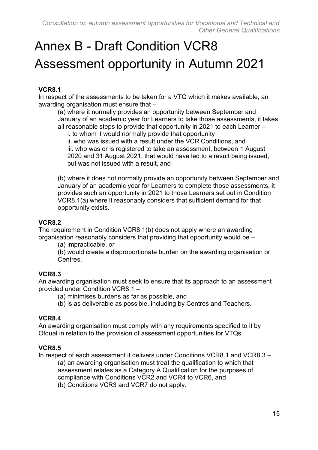# Annex B - Draft Condition VCR8 Assessment opportunity in Autumn 2021

#### **VCR8.1**

In respect of the assessments to be taken for a VTQ which it makes available, an awarding organisation must ensure that –

(a) where it normally provides an opportunity between September and January of an academic year for Learners to take those assessments, it takes all reasonable steps to provide that opportunity in 2021 to each Learner –

i. to whom it would normally provide that opportunity

ii. who was issued with a result under the VCR Conditions, and iii. who was or is registered to take an assessment, between 1 August 2020 and 31 August 2021, that would have led to a result being issued, but was not issued with a result, and

(b) where it does not normally provide an opportunity between September and January of an academic year for Learners to complete those assessments, it provides such an opportunity in 2021 to those Learners set out in Condition VCR8.1(a) where it reasonably considers that sufficient demand for that opportunity exists.

#### **VCR8.2**

The requirement in Condition VCR8.1(b) does not apply where an awarding organisation reasonably considers that providing that opportunity would be –

(a) impracticable, or

(b) would create a disproportionate burden on the awarding organisation or **Centres** 

#### **VCR8.3**

An awarding organisation must seek to ensure that its approach to an assessment provided under Condition VCR8.1 –

- (a) minimises burdens as far as possible, and
- (b) is as deliverable as possible, including by Centres and Teachers.

#### **VCR8.4**

An awarding organisation must comply with any requirements specified to it by Ofqual in relation to the provision of assessment opportunities for VTQs.

#### **VCR8.5**

In respect of each assessment it delivers under Conditions VCR8.1 and VCR8.3 –

(a) an awarding organisation must treat the qualification to which that assessment relates as a Category A Qualification for the purposes of compliance with Conditions VCR2 and VCR4 to VCR6, and (b) Conditions VCR3 and VCR7 do not apply.